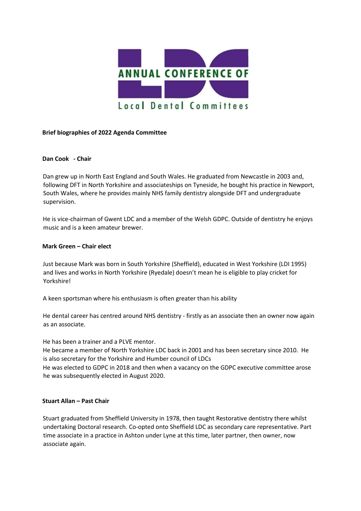

## **Brief biographies of 2022 Agenda Committee**

## **Dan Cook - Chair**

Dan grew up in North East England and South Wales. He graduated from Newcastle in 2003 and, following DFT in North Yorkshire and associateships on Tyneside, he bought his practice in Newport, South Wales, where he provides mainly NHS family dentistry alongside DFT and undergraduate supervision.

He is vice-chairman of Gwent LDC and a member of the Welsh GDPC. Outside of dentistry he enjoys music and is a keen amateur brewer.

## **Mark Green – Chair elect**

Just because Mark was born in South Yorkshire (Sheffield), educated in West Yorkshire (LDI 1995) and lives and works in North Yorkshire (Ryedale) doesn't mean he is eligible to play cricket for Yorkshire!

A keen sportsman where his enthusiasm is often greater than his ability

He dental career has centred around NHS dentistry - firstly as an associate then an owner now again as an associate.

He has been a trainer and a PLVE mentor.

He became a member of North Yorkshire LDC back in 2001 and has been secretary since 2010. He is also secretary for the Yorkshire and Humber council of LDCs

He was elected to GDPC in 2018 and then when a vacancy on the GDPC executive committee arose he was subsequently elected in August 2020.

## **Stuart Allan – Past Chair**

Stuart graduated from Sheffield University in 1978, then taught Restorative dentistry there whilst undertaking Doctoral research. Co-opted onto Sheffield LDC as secondary care representative. Part time associate in a practice in Ashton under Lyne at this time, later partner, then owner, now associate again.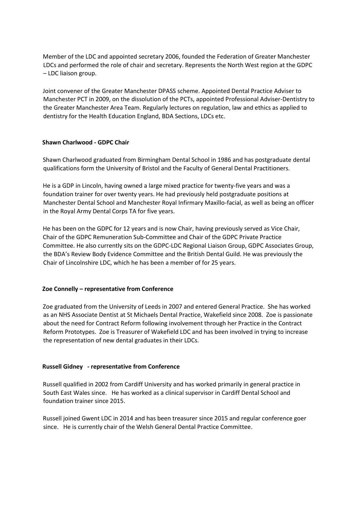Member of the LDC and appointed secretary 2006, founded the Federation of Greater Manchester LDCs and performed the role of chair and secretary. Represents the North West region at the GDPC – LDC liaison group.

Joint convener of the Greater Manchester DPASS scheme. Appointed Dental Practice Adviser to Manchester PCT in 2009, on the dissolution of the PCTs, appointed Professional Adviser-Dentistry to the Greater Manchester Area Team. Regularly lectures on regulation, law and ethics as applied to dentistry for the Health Education England, BDA Sections, LDCs etc.

# **Shawn Charlwood - GDPC Chair**

Shawn Charlwood graduated from Birmingham Dental School in 1986 and has postgraduate dental qualifications form the University of Bristol and the Faculty of General Dental Practitioners.

He is a GDP in Lincoln, having owned a large mixed practice for twenty-five years and was a foundation trainer for over twenty years. He had previously held postgraduate positions at Manchester Dental School and Manchester Royal Infirmary Maxillo-facial, as well as being an officer in the Royal Army Dental Corps TA for five years.

He has been on the GDPC for 12 years and is now Chair, having previously served as Vice Chair, Chair of the GDPC Remuneration Sub-Committee and Chair of the GDPC Private Practice Committee. He also currently sits on the GDPC-LDC Regional Liaison Group, GDPC Associates Group, the BDA's Review Body Evidence Committee and the British Dental Guild. He was previously the Chair of Lincolnshire LDC, which he has been a member of for 25 years.

## **Zoe Connelly – representative from Conference**

Zoe graduated from the University of Leeds in 2007 and entered General Practice. She has worked as an NHS Associate Dentist at St Michaels Dental Practice, Wakefield since 2008. Zoe is passionate about the need for Contract Reform following involvement through her Practice in the Contract Reform Prototypes. Zoe is Treasurer of Wakefield LDC and has been involved in trying to increase the representation of new dental graduates in their LDCs.

## **Russell Gidney - representative from Conference**

Russell qualified in 2002 from Cardiff University and has worked primarily in general practice in South East Wales since. He has worked as a clinical supervisor in Cardiff Dental School and foundation trainer since 2015.

Russell joined Gwent LDC in 2014 and has been treasurer since 2015 and regular conference goer since. He is currently chair of the Welsh General Dental Practice Committee.